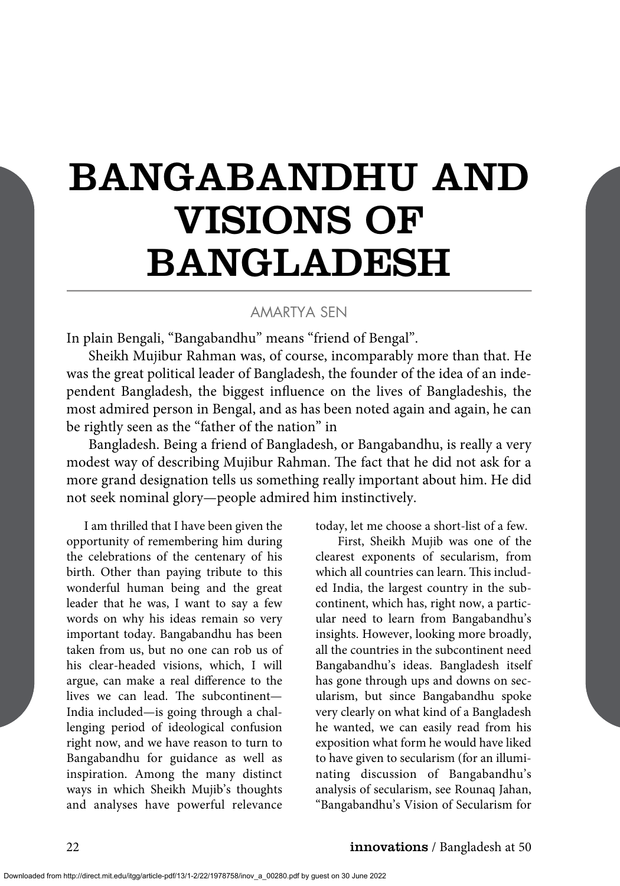## BANGABANDHU AND VISIONS OF BANGLADESH

## AMARTYA SEN

In plain Bengali, "Bangabandhu" means "friend of Bengal".

Sheikh Mujibur Rahman was, of course, incomparably more than that. He was the great political leader of Bangladesh, the founder of the idea of an independent Bangladesh, the biggest influence on the lives of Bangladeshis, the most admired person in Bengal, and as has been noted again and again, he can be rightly seen as the "father of the nation" in

Bangladesh. Being a friend of Bangladesh, or Bangabandhu, is really a very modest way of describing Mujibur Rahman. The fact that he did not ask for a more grand designation tells us something really important about him. He did not seek nominal glory—people admired him instinctively.

I am thrilled that I have been given the opportunity of remembering him during the celebrations of the centenary of his birth. Other than paying tribute to this wonderful human being and the great leader that he was, I want to say a few words on why his ideas remain so very important today. Bangabandhu has been taken from us, but no one can rob us of his clear-headed visions, which, I will argue, can make a real difference to the lives we can lead. The subcontinent— India included—is going through a challenging period of ideological confusion right now, and we have reason to turn to Bangabandhu for guidance as well as inspiration. Among the many distinct ways in which Sheikh Mujib's thoughts and analyses have powerful relevance

today, let me choose a short-list of a few.

First, Sheikh Mujib was one of the clearest exponents of secularism, from which all countries can learn. This included India, the largest country in the subcontinent, which has, right now, a particular need to learn from Bangabandhu's insights. However, looking more broadly, all the countries in the subcontinent need Bangabandhu's ideas. Bangladesh itself has gone through ups and downs on secularism, but since Bangabandhu spoke very clearly on what kind of a Bangladesh he wanted, we can easily read from his exposition what form he would have liked to have given to secularism (for an illuminating discussion of Bangabandhu's analysis of secularism, see Rounaq Jahan, "Bangabandhu's Vision of Secularism for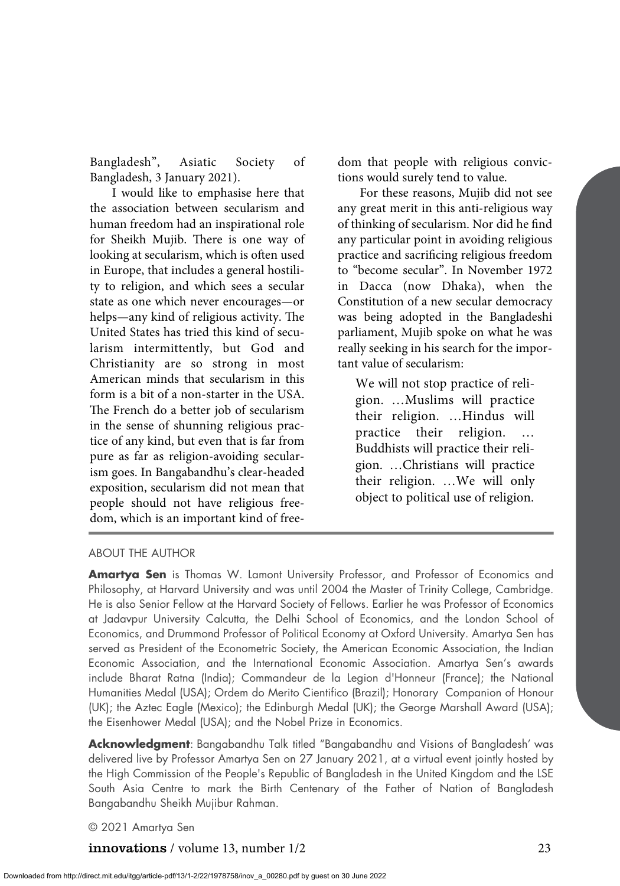Bangladesh", Asiatic Society of Bangladesh, 3 January 2021).

I would like to emphasise here that the association between secularism and human freedom had an inspirational role for Sheikh Mujib. There is one way of looking at secularism, which is often used in Europe, that includes a general hostility to religion, and which sees a secular state as one which never encourages—or helps—any kind of religious activity. The United States has tried this kind of secularism intermittently, but God and Christianity are so strong in most American minds that secularism in this form is a bit of a non-starter in the USA. The French do a better job of secularism in the sense of shunning religious practice of any kind, but even that is far from pure as far as religion-avoiding secularism goes. In Bangabandhu's clear-headed exposition, secularism did not mean that people should not have religious freedom, which is an important kind of freedom that people with religious convictions would surely tend to value.

For these reasons, Mujib did not see any great merit in this anti-religious way of thinking of secularism. Nor did he find any particular point in avoiding religious practice and sacrificing religious freedom to "become secular". In November 1972 in Dacca (now Dhaka), when the Constitution of a new secular democracy was being adopted in the Bangladeshi parliament, Mujib spoke on what he was really seeking in his search for the important value of secularism:

We will not stop practice of religion. …Muslims will practice their religion. …Hindus will practice their religion. … Buddhists will practice their religion. …Christians will practice their religion. …We will only object to political use of religion.

## ABOUT THE AUTHOR

**Amartya Sen** is Thomas W. Lamont University Professor, and Professor of Economics and Philosophy, at Harvard University and was until 2004 the Master of Trinity College, Cambridge. He is also Senior Fellow at the Harvard Society of Fellows. Earlier he was Professor of Economics at Jadavpur University Calcutta, the Delhi School of Economics, and the London School of Economics, and Drummond Professor of Political Economy at Oxford University. Amartya Sen has served as President of the Econometric Society, the American Economic Association, the Indian Economic Association, and the International Economic Association. Amartya Sen's awards include Bharat Ratna (India); Commandeur de la Legion d'Honneur (France); the National Humanities Medal (USA); Ordem do Merito Cientifico (Brazil); Honorary Companion of Honour (UK); the Aztec Eagle (Mexico); the Edinburgh Medal (UK); the George Marshall Award (USA); the Eisenhower Medal (USA); and the Nobel Prize in Economics.

**Acknowledgment**: Bangabandhu Talk titled "Bangabandhu and Visions of Bangladesh' was delivered live by Professor Amartya Sen on 27 January 2021, at a virtual event jointly hosted by the High Commission of the People's Republic of Bangladesh in the United Kingdom and the LSE South Asia Centre to mark the Birth Centenary of the Father of Nation of Bangladesh Bangabandhu Sheikh Mujibur Rahman.

© 2021 Amartya Sen

## **innovations** / volume 13, number 1/2 23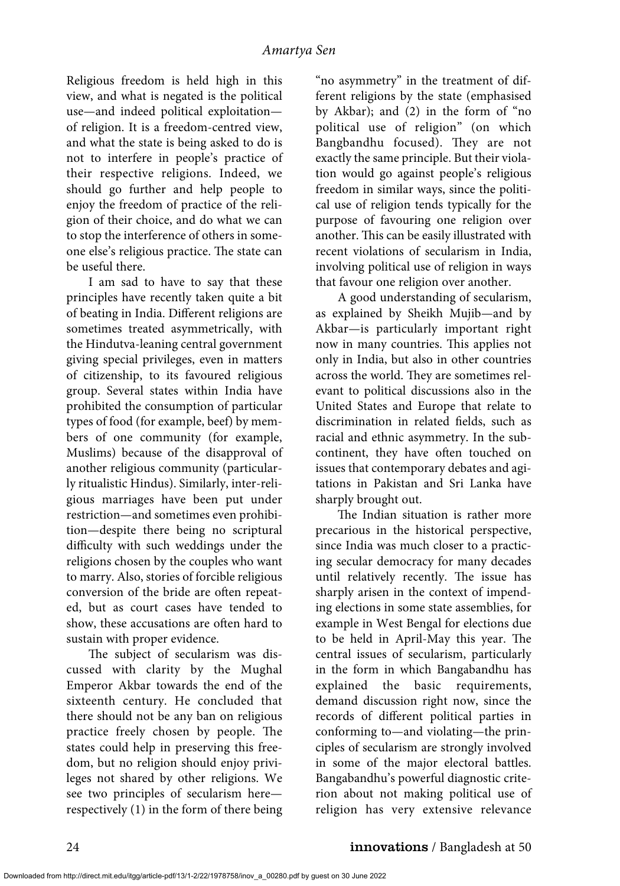Religious freedom is held high in this view, and what is negated is the political use—and indeed political exploitation of religion. It is a freedom-centred view, and what the state is being asked to do is not to interfere in people's practice of their respective religions. Indeed, we should go further and help people to enjoy the freedom of practice of the religion of their choice, and do what we can to stop the interference of others in someone else's religious practice. The state can be useful there.

I am sad to have to say that these principles have recently taken quite a bit of beating in India. Different religions are sometimes treated asymmetrically, with the Hindutva-leaning central government giving special privileges, even in matters of citizenship, to its favoured religious group. Several states within India have prohibited the consumption of particular types of food (for example, beef) by members of one community (for example, Muslims) because of the disapproval of another religious community (particularly ritualistic Hindus). Similarly, inter-religious marriages have been put under restriction—and sometimes even prohibition—despite there being no scriptural difficulty with such weddings under the religions chosen by the couples who want to marry. Also, stories of forcible religious conversion of the bride are often repeated, but as court cases have tended to show, these accusations are often hard to sustain with proper evidence.

The subject of secularism was discussed with clarity by the Mughal Emperor Akbar towards the end of the sixteenth century. He concluded that there should not be any ban on religious practice freely chosen by people. The states could help in preserving this freedom, but no religion should enjoy privileges not shared by other religions. We see two principles of secularism here respectively (1) in the form of there being "no asymmetry" in the treatment of different religions by the state (emphasised by Akbar); and (2) in the form of "no political use of religion" (on which Bangbandhu focused). They are not exactly the same principle. But their violation would go against people's religious freedom in similar ways, since the political use of religion tends typically for the purpose of favouring one religion over another. This can be easily illustrated with recent violations of secularism in India, involving political use of religion in ways that favour one religion over another.

A good understanding of secularism, as explained by Sheikh Mujib—and by Akbar—is particularly important right now in many countries. This applies not only in India, but also in other countries across the world. They are sometimes relevant to political discussions also in the United States and Europe that relate to discrimination in related fields, such as racial and ethnic asymmetry. In the subcontinent, they have often touched on issues that contemporary debates and agitations in Pakistan and Sri Lanka have sharply brought out.

The Indian situation is rather more precarious in the historical perspective, since India was much closer to a practicing secular democracy for many decades until relatively recently. The issue has sharply arisen in the context of impending elections in some state assemblies, for example in West Bengal for elections due to be held in April-May this year. The central issues of secularism, particularly in the form in which Bangabandhu has explained the basic requirements, demand discussion right now, since the records of different political parties in conforming to—and violating—the principles of secularism are strongly involved in some of the major electoral battles. Bangabandhu's powerful diagnostic criterion about not making political use of religion has very extensive relevance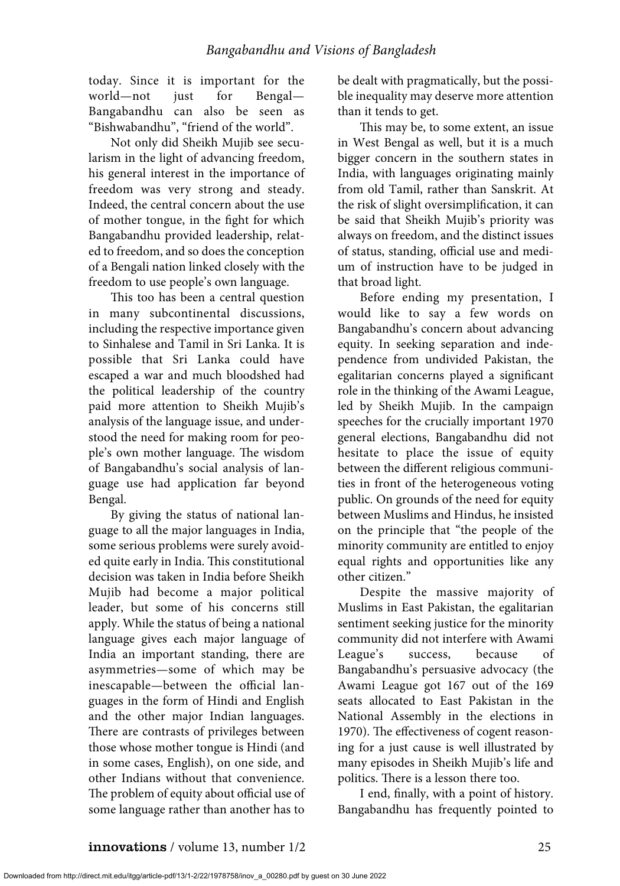today. Since it is important for the world—not just for Bengal— Bangabandhu can also be seen as "Bishwabandhu", "friend of the world".

Not only did Sheikh Mujib see secularism in the light of advancing freedom, his general interest in the importance of freedom was very strong and steady. Indeed, the central concern about the use of mother tongue, in the fight for which Bangabandhu provided leadership, related to freedom, and so does the conception of a Bengali nation linked closely with the freedom to use people's own language.

This too has been a central question in many subcontinental discussions, including the respective importance given to Sinhalese and Tamil in Sri Lanka. It is possible that Sri Lanka could have escaped a war and much bloodshed had the political leadership of the country paid more attention to Sheikh Mujib's analysis of the language issue, and understood the need for making room for people's own mother language. The wisdom of Bangabandhu's social analysis of language use had application far beyond Bengal.

By giving the status of national language to all the major languages in India, some serious problems were surely avoided quite early in India. This constitutional decision was taken in India before Sheikh Mujib had become a major political leader, but some of his concerns still apply. While the status of being a national language gives each major language of India an important standing, there are asymmetries—some of which may be inescapable—between the official languages in the form of Hindi and English and the other major Indian languages. There are contrasts of privileges between those whose mother tongue is Hindi (and in some cases, English), on one side, and other Indians without that convenience. The problem of equity about official use of some language rather than another has to

be dealt with pragmatically, but the possible inequality may deserve more attention than it tends to get.

This may be, to some extent, an issue in West Bengal as well, but it is a much bigger concern in the southern states in India, with languages originating mainly from old Tamil, rather than Sanskrit. At the risk of slight oversimplification, it can be said that Sheikh Mujib's priority was always on freedom, and the distinct issues of status, standing, official use and medium of instruction have to be judged in that broad light.

Before ending my presentation, I would like to say a few words on Bangabandhu's concern about advancing equity. In seeking separation and independence from undivided Pakistan, the egalitarian concerns played a significant role in the thinking of the Awami League, led by Sheikh Mujib. In the campaign speeches for the crucially important 1970 general elections, Bangabandhu did not hesitate to place the issue of equity between the different religious communities in front of the heterogeneous voting public. On grounds of the need for equity between Muslims and Hindus, he insisted on the principle that "the people of the minority community are entitled to enjoy equal rights and opportunities like any other citizen."

Despite the massive majority of Muslims in East Pakistan, the egalitarian sentiment seeking justice for the minority community did not interfere with Awami League's success, because of Bangabandhu's persuasive advocacy (the Awami League got 167 out of the 169 seats allocated to East Pakistan in the National Assembly in the elections in 1970). The effectiveness of cogent reasoning for a just cause is well illustrated by many episodes in Sheikh Mujib's life and politics. There is a lesson there too.

I end, finally, with a point of history. Bangabandhu has frequently pointed to